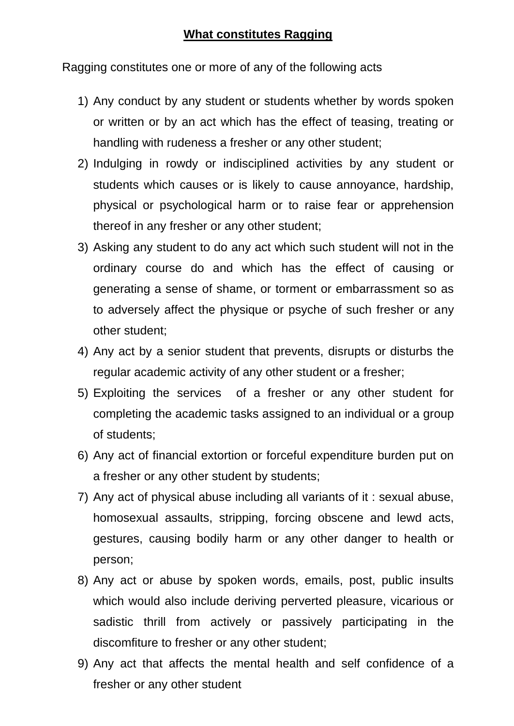Ragging constitutes one or more of any of the following acts

- 1) Any conduct by any student or students whether by words spoken or written or by an act which has the effect of teasing, treating or handling with rudeness a fresher or any other student;
- 2) Indulging in rowdy or indisciplined activities by any student or students which causes or is likely to cause annoyance, hardship, physical or psychological harm or to raise fear or apprehension thereof in any fresher or any other student;
- 3) Asking any student to do any act which such student will not in the ordinary course do and which has the effect of causing or generating a sense of shame, or torment or embarrassment so as to adversely affect the physique or psyche of such fresher or any other student;
- 4) Any act by a senior student that prevents, disrupts or disturbs the regular academic activity of any other student or a fresher;
- 5) Exploiting the services of a fresher or any other student for completing the academic tasks assigned to an individual or a group of students;
- 6) Any act of financial extortion or forceful expenditure burden put on a fresher or any other student by students;
- 7) Any act of physical abuse including all variants of it : sexual abuse, homosexual assaults, stripping, forcing obscene and lewd acts, gestures, causing bodily harm or any other danger to health or person;
- 8) Any act or abuse by spoken words, emails, post, public insults which would also include deriving perverted pleasure, vicarious or sadistic thrill from actively or passively participating in the discomfiture to fresher or any other student;
- 9) Any act that affects the mental health and self confidence of a fresher or any other student